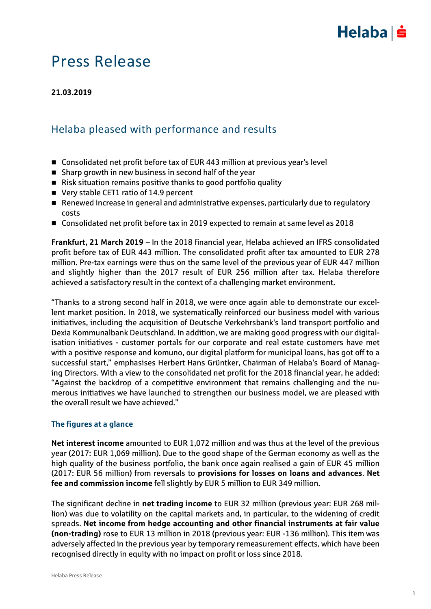

## Press Release

**21.03.2019**

## Helaba pleased with performance and results

- Consolidated net profit before tax of EUR 443 million at previous year's level
- $\blacksquare$  Sharp growth in new business in second half of the year
- Risk situation remains positive thanks to good portfolio quality
- Very stable CET1 ratio of 14.9 percent
- Renewed increase in general and administrative expenses, particularly due to regulatory costs
- Consolidated net profit before tax in 2019 expected to remain at same level as 2018

**Frankfurt, 21 March 2019** – In the 2018 financial year, Helaba achieved an IFRS consolidated profit before tax of EUR 443 million. The consolidated profit after tax amounted to EUR 278 million. Pre-tax earnings were thus on the same level of the previous year of EUR 447 million and slightly higher than the 2017 result of EUR 256 million after tax. Helaba therefore achieved a satisfactory result in the context of a challenging market environment.

"Thanks to a strong second half in 2018, we were once again able to demonstrate our excellent market position. In 2018, we systematically reinforced our business model with various initiatives, including the acquisition of Deutsche Verkehrsbank's land transport portfolio and Dexia Kommunalbank Deutschland. In addition, we are making good progress with our digitalisation initiatives - customer portals for our corporate and real estate customers have met with a positive response and komuno, our digital platform for municipal loans, has got off to a successful start," emphasises Herbert Hans Grüntker, Chairman of Helaba's Board of Managing Directors. With a view to the consolidated net profit for the 2018 financial year, he added: "Against the backdrop of a competitive environment that remains challenging and the numerous initiatives we have launched to strengthen our business model, we are pleased with the overall result we have achieved."

### **The figures at a glance**

**Net interest income** amounted to EUR 1,072 million and was thus at the level of the previous year (2017: EUR 1,069 million). Due to the good shape of the German economy as well as the high quality of the business portfolio, the bank once again realised a gain of EUR 45 million (2017: EUR 56 million) from reversals to **provisions for losses on loans and advances**. **Net fee and commission income** fell slightly by EUR 5 million to EUR 349 million.

The significant decline in **net trading income** to EUR 32 million (previous year: EUR 268 million) was due to volatility on the capital markets and, in particular, to the widening of credit spreads. **Net income from hedge accounting and other financial instruments at fair value (non-trading)** rose to EUR 13 million in 2018 (previous year: EUR -136 million). This item was adversely affected in the previous year by temporary remeasurement effects, which have been recognised directly in equity with no impact on profit or loss since 2018.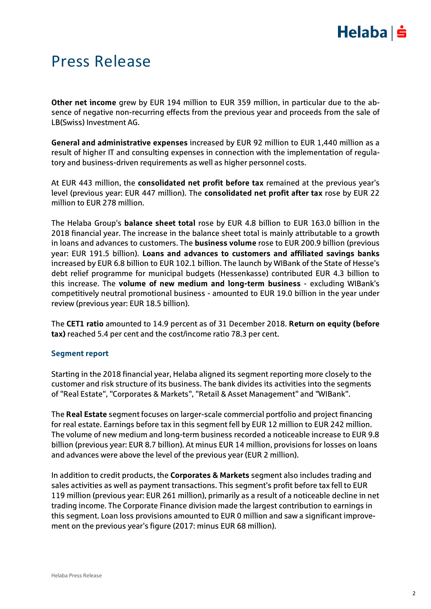# $Helaba| \dot{=}$

## Press Release

**Other net income** grew by EUR 194 million to EUR 359 million, in particular due to the absence of negative non-recurring effects from the previous year and proceeds from the sale of LB(Swiss) Investment AG.

**General and administrative expenses** increased by EUR 92 million to EUR 1,440 million as a result of higher IT and consulting expenses in connection with the implementation of regulatory and business-driven requirements as well as higher personnel costs.

At EUR 443 million, the **consolidated net profit before tax** remained at the previous year's level (previous year: EUR 447 million). The **consolidated net profit after tax** rose by EUR 22 million to EUR 278 million.

The Helaba Group's **balance sheet total** rose by EUR 4.8 billion to EUR 163.0 billion in the 2018 financial year. The increase in the balance sheet total is mainly attributable to a growth in loans and advances to customers. The **business volume** rose to EUR 200.9 billion (previous year: EUR 191.5 billion). **Loans and advances to customers and affiliated savings banks** increased by EUR 6.8 billion to EUR 102.1 billion. The launch by WIBank of the State of Hesse's debt relief programme for municipal budgets (Hessenkasse) contributed EUR 4.3 billion to this increase. The **volume of new medium and long-term business** - excluding WIBank's competitively neutral promotional business - amounted to EUR 19.0 billion in the year under review (previous year: EUR 18.5 billion).

The **CET1 ratio** amounted to 14.9 percent as of 31 December 2018. **Return on equity (before tax)** reached 5.4 per cent and the cost/income ratio 78.3 per cent.

### **Segment report**

Starting in the 2018 financial year, Helaba aligned its segment reporting more closely to the customer and risk structure of its business. The bank divides its activities into the segments of "Real Estate", "Corporates & Markets", "Retail & Asset Management" and "WIBank".

The **Real Estate** segment focuses on larger-scale commercial portfolio and project financing for real estate. Earnings before tax in this segment fell by EUR 12 million to EUR 242 million. The volume of new medium and long-term business recorded a noticeable increase to EUR 9.8 billion (previous year: EUR 8.7 billion). At minus EUR 14 million, provisions for losses on loans and advances were above the level of the previous year (EUR 2 million).

In addition to credit products, the **Corporates & Markets** segment also includes trading and sales activities as well as payment transactions. This segment's profit before tax fell to EUR 119 million (previous year: EUR 261 million), primarily as a result of a noticeable decline in net trading income. The Corporate Finance division made the largest contribution to earnings in this segment. Loan loss provisions amounted to EUR 0 million and saw a significant improvement on the previous year's figure (2017: minus EUR 68 million).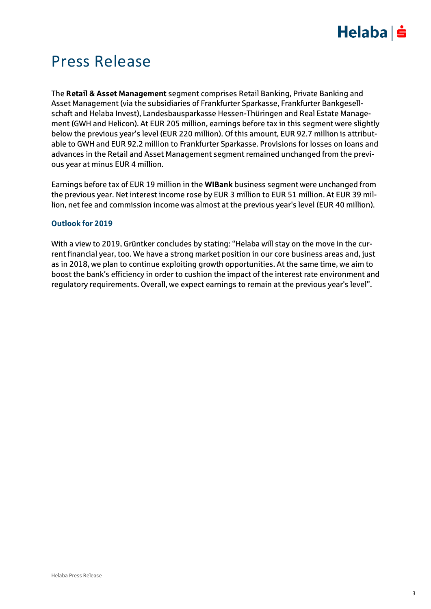# $Helaba$  =

## Press Release

The **Retail & Asset Management** segment comprises Retail Banking, Private Banking and Asset Management (via the subsidiaries of Frankfurter Sparkasse, Frankfurter Bankgesellschaft and Helaba Invest), Landesbausparkasse Hessen-Thüringen and Real Estate Management (GWH and Helicon). At EUR 205 million, earnings before tax in this segment were slightly below the previous year's level (EUR 220 million). Of this amount, EUR 92.7 million is attributable to GWH and EUR 92.2 million to Frankfurter Sparkasse. Provisions for losses on loans and advances in the Retail and Asset Management segment remained unchanged from the previous year at minus EUR 4 million.

Earnings before tax of EUR 19 million in the **WIBank** business segment were unchanged from the previous year. Net interest income rose by EUR 3 million to EUR 51 million. At EUR 39 million, net fee and commission income was almost at the previous year's level (EUR 40 million).

### **Outlook for 2019**

With a view to 2019, Grüntker concludes by stating: "Helaba will stay on the move in the current financial year, too. We have a strong market position in our core business areas and, just as in 2018, we plan to continue exploiting growth opportunities. At the same time, we aim to boost the bank's efficiency in order to cushion the impact of the interest rate environment and regulatory requirements. Overall, we expect earnings to remain at the previous year's level".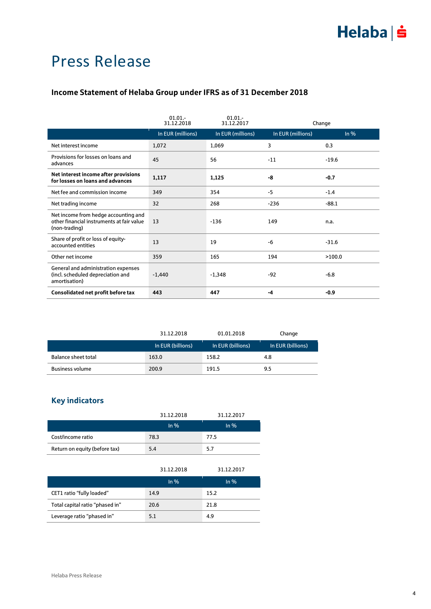## Press Release

### **Income Statement of Helaba Group under IFRS as of 31 December 2018**

|                                                                                                    | $01.01 -$<br>31.12.2018 | 01.01.<br>31.12.2017 |                   | Change  |
|----------------------------------------------------------------------------------------------------|-------------------------|----------------------|-------------------|---------|
|                                                                                                    | In EUR (millions)       | In EUR (millions)    | In EUR (millions) | $ln\%$  |
| Net interest income                                                                                | 1,072                   | 1,069                | 3                 | 0.3     |
| Provisions for losses on loans and<br>advances                                                     | 45                      | 56                   | $-11$             | $-19.6$ |
| Net interest income after provisions<br>for losses on loans and advances                           | 1,117                   | 1,125                | -8                | $-0.7$  |
| Net fee and commission income                                                                      | 349                     | 354                  | $-5$              | $-1.4$  |
| Net trading income                                                                                 | 32                      | 268                  | $-236$            | $-88.1$ |
| Net income from hedge accounting and<br>other financial instruments at fair value<br>(non-trading) | 13                      | $-136$               | 149               | n.a.    |
| Share of profit or loss of equity-<br>accounted entities                                           | 13                      | 19                   | -6                | $-31.6$ |
| Other net income                                                                                   | 359                     | 165                  | 194               | >100.0  |
| General and administration expenses<br>(incl. scheduled depreciation and<br>amortisation)          | $-1,440$                | $-1,348$             | $-92$             | $-6.8$  |
| Consolidated net profit before tax                                                                 | 443                     | 447                  | -4                | $-0.9$  |

|                        | 31.12.2018        | 01.01.2018        | Change            |
|------------------------|-------------------|-------------------|-------------------|
|                        | In EUR (billions) | In EUR (billions) | In EUR (billions) |
| Balance sheet total    | 163.0             | 158.2             | 4.8               |
| <b>Business volume</b> | 200.9             | 191.5             | 9.5               |

### **Key indicators**

|                               | 31.12.2018 | 31.12.2017 |
|-------------------------------|------------|------------|
|                               | In $%$     | In $%$     |
| Cost/income ratio             | 78.3       | 77.5       |
| Return on equity (before tax) | 5.4        | 5.7        |

|                                 | 31.12.2018 | 31.12.2017 |
|---------------------------------|------------|------------|
|                                 | In $%$     | $\ln \%$   |
| CET1 ratio "fully loaded"       | 14.9       | 15.2       |
| Total capital ratio "phased in" | 20.6       | 21.8       |
| Leverage ratio "phased in"      | 5.1        | 4.9        |